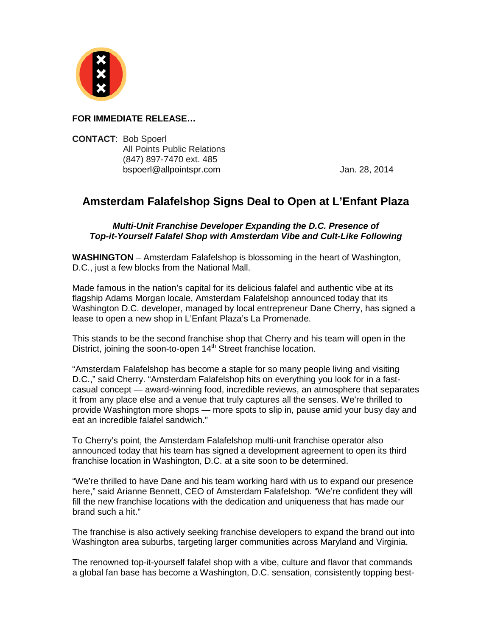

## **FOR IMMEDIATE RELEASE…**

**CONTACT**: Bob Spoerl All Points Public Relations (847) 897-7470 ext. 485 bspoerl@allpointspr.com Jan. 28, 2014

## **Amsterdam Falafelshop Signs Deal to Open at L'Enfant Plaza**

## *Multi-Unit Franchise Developer Expanding the D.C. Presence of Top-it-Yourself Falafel Shop with Amsterdam Vibe and Cult-Like Following*

**WASHINGTON** – Amsterdam Falafelshop is blossoming in the heart of Washington, D.C., just a few blocks from the National Mall.

Made famous in the nation's capital for its delicious falafel and authentic vibe at its flagship Adams Morgan locale, Amsterdam Falafelshop announced today that its Washington D.C. developer, managed by local entrepreneur Dane Cherry, has signed a lease to open a new shop in L'Enfant Plaza's La Promenade.

This stands to be the second franchise shop that Cherry and his team will open in the District, joining the soon-to-open  $14<sup>th</sup>$  Street franchise location.

"Amsterdam Falafelshop has become a staple for so many people living and visiting D.C.," said Cherry. "Amsterdam Falafelshop hits on everything you look for in a fastcasual concept — award-winning food, incredible reviews, an atmosphere that separates it from any place else and a venue that truly captures all the senses. We're thrilled to provide Washington more shops — more spots to slip in, pause amid your busy day and eat an incredible falafel sandwich."

To Cherry's point, the Amsterdam Falafelshop multi-unit franchise operator also announced today that his team has signed a development agreement to open its third franchise location in Washington, D.C. at a site soon to be determined.

"We're thrilled to have Dane and his team working hard with us to expand our presence here," said Arianne Bennett, CEO of Amsterdam Falafelshop. "We're confident they will fill the new franchise locations with the dedication and uniqueness that has made our brand such a hit."

The franchise is also actively seeking franchise developers to expand the brand out into Washington area suburbs, targeting larger communities across Maryland and Virginia.

The renowned top-it-yourself falafel shop with a vibe, culture and flavor that commands a global fan base has become a Washington, D.C. sensation, consistently topping best